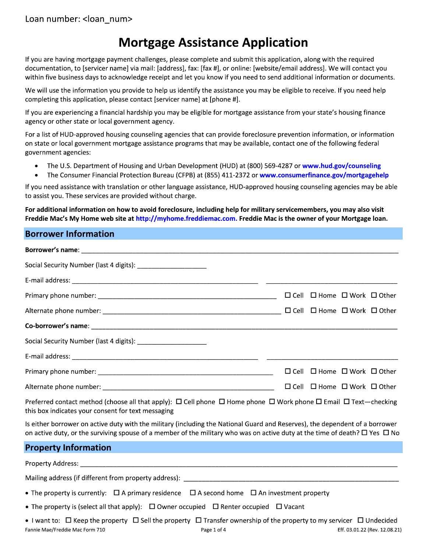# **Mortgage Assistance Application**

If you are having mortgage payment challenges, please complete and submit this application, along with the required documentation, to [servicer name] via mail: [address], fax: [fax #], or online: [website/email address]. We will contact you within five business days to acknowledge receipt and let you know if you need to send additional information or documents.

We will use the information you provide to help us identify the assistance you may be eligible to receive. If you need help completing this application, please contact [servicer name] at [phone #].

If you are experiencing a financial hardship you may be eligible for mortgage assistance from your state's housing finance agency or other state or local government agency.

For a list of HUD-approved housing counseling agencies that can provide foreclosure prevention information, or information on state or local government mortgage assistance programs that may be available, contact one of the following federal government agencies:

- The U.S. Department of Housing and Urban Development (HUD) at (800) 569-4287 or www.hud.gov/counseling  $\bullet$
- The Consumer Financial Protection Bureau (CFPB) at (855) 411-2372 or www.consumerfinance.gov/mortgagehelp

If you need assistance with translation or other language assistance, HUD-approved housing counseling agencies may be able to assist you. These services are provided without charge.

For additional information on how to avoid foreclosure, including help for military servicemembers, you may also visit Freddie Mac's My Home web site at http://myhome.freddiemac.com. Freddie Mac is the owner of your Mortgage Ioan.

#### **Borrower Information**

| Social Security Number (last 4 digits): ________________________ |                                                  |  |
|------------------------------------------------------------------|--------------------------------------------------|--|
|                                                                  |                                                  |  |
|                                                                  | $\Box$ Cell $\Box$ Home $\Box$ Work $\Box$ Other |  |
|                                                                  |                                                  |  |
|                                                                  |                                                  |  |
| Social Security Number (last 4 digits): ________________________ |                                                  |  |
|                                                                  |                                                  |  |
|                                                                  | $\Box$ Cell $\Box$ Home $\Box$ Work $\Box$ Other |  |
|                                                                  | $\Box$ Cell $\Box$ Home $\Box$ Work $\Box$ Other |  |

Preferred contact method (choose all that apply):  $\Box$  Cell phone  $\Box$  Home phone  $\Box$  Work phone  $\Box$  Email  $\Box$  Text—checking this box indicates your consent for text messaging

Is either borrower on active duty with the military (including the National Guard and Reserves), the dependent of a borrower on active duty, or the surviving spouse of a member of the military who was on active duty at the time of death?  $\Box$  Yes  $\Box$  No

#### **Property Information**

**Property Address:** 

Mailing address (if different from property address):

- The property is currently:  $\Box$  A primary residence  $\Box$  A second home  $\Box$  An investment property
- The property is (select all that apply):  $\Box$  Owner occupied  $\Box$  Renter occupied  $\Box$  Vacant
- I want to:  $\Box$  Keep the property  $\Box$  Sell the property  $\Box$  Transfer ownership of the property to my servicer  $\Box$  Undecided Fannie Mae/Freddie Mac Form 710 Page 1 of 4 Eff. 03.01.22 (Rev. 12.08.21)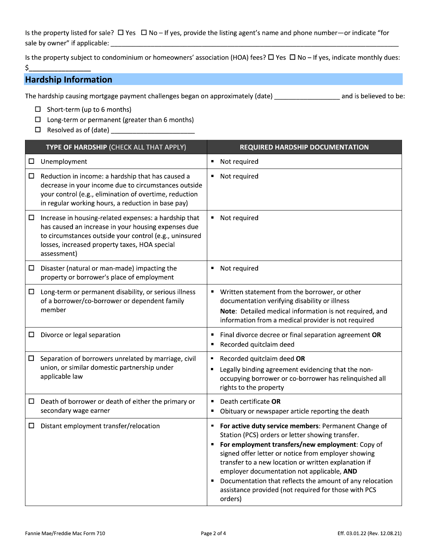Is the property listed for sale?  $\Box$  Yes  $\Box$  No - If yes, provide the listing agent's name and phone number-or indicate "for 

Is the property subject to condominium or homeowners' association (HOA) fees?  $\Box$  Yes  $\Box$  No - If yes, indicate monthly dues:  $\mathsf{S}$ 

# **Hardship Information**

The hardship causing mortgage payment challenges began on approximately (date) \_\_\_\_\_\_\_\_\_\_\_\_\_\_\_\_\_\_\_ and is believed to be:

- $\Box$  Short-term (up to 6 months)
- $\square$  Long-term or permanent (greater than 6 months)

|        | TYPE OF HARDSHIP (CHECK ALL THAT APPLY)                                                                                                                                                                                                | <b>REQUIRED HARDSHIP DOCUMENTATION</b>                                                                                                                                                                                                                                                                                                                                                                                                                             |
|--------|----------------------------------------------------------------------------------------------------------------------------------------------------------------------------------------------------------------------------------------|--------------------------------------------------------------------------------------------------------------------------------------------------------------------------------------------------------------------------------------------------------------------------------------------------------------------------------------------------------------------------------------------------------------------------------------------------------------------|
| $\Box$ | Unemployment                                                                                                                                                                                                                           | Not required<br>٠                                                                                                                                                                                                                                                                                                                                                                                                                                                  |
| $\Box$ | Reduction in income: a hardship that has caused a<br>decrease in your income due to circumstances outside<br>your control (e.g., elimination of overtime, reduction<br>in regular working hours, a reduction in base pay)              | Not required<br>п                                                                                                                                                                                                                                                                                                                                                                                                                                                  |
| ப      | Increase in housing-related expenses: a hardship that<br>has caused an increase in your housing expenses due<br>to circumstances outside your control (e.g., uninsured<br>losses, increased property taxes, HOA special<br>assessment) | Not required<br>ш                                                                                                                                                                                                                                                                                                                                                                                                                                                  |
| $\Box$ | Disaster (natural or man-made) impacting the<br>property or borrower's place of employment                                                                                                                                             | Not required<br>п                                                                                                                                                                                                                                                                                                                                                                                                                                                  |
| $\Box$ | Long-term or permanent disability, or serious illness<br>of a borrower/co-borrower or dependent family<br>member                                                                                                                       | Written statement from the borrower, or other<br>٠<br>documentation verifying disability or illness<br>Note: Detailed medical information is not required, and<br>information from a medical provider is not required                                                                                                                                                                                                                                              |
| ш      | Divorce or legal separation                                                                                                                                                                                                            | Final divorce decree or final separation agreement OR<br>п<br>Recorded quitclaim deed<br>٠                                                                                                                                                                                                                                                                                                                                                                         |
| ш      | Separation of borrowers unrelated by marriage, civil<br>union, or similar domestic partnership under<br>applicable law                                                                                                                 | Recorded quitclaim deed OR<br>٠<br>Legally binding agreement evidencing that the non-<br>٠<br>occupying borrower or co-borrower has relinquished all<br>rights to the property                                                                                                                                                                                                                                                                                     |
| □      | Death of borrower or death of either the primary or<br>secondary wage earner                                                                                                                                                           | Death certificate OR<br>٠<br>Obituary or newspaper article reporting the death                                                                                                                                                                                                                                                                                                                                                                                     |
| ப      | Distant employment transfer/relocation                                                                                                                                                                                                 | For active duty service members: Permanent Change of<br>٠<br>Station (PCS) orders or letter showing transfer.<br>For employment transfers/new employment: Copy of<br>signed offer letter or notice from employer showing<br>transfer to a new location or written explanation if<br>employer documentation not applicable, AND<br>Documentation that reflects the amount of any relocation<br>٠<br>assistance provided (not required for those with PCS<br>orders) |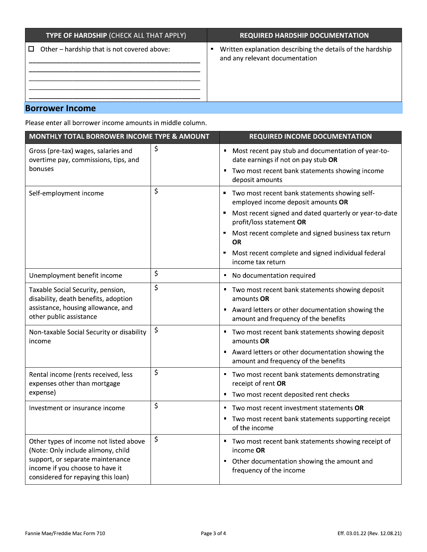| TYPE OF HARDSHIP (CHECK ALL THAT APPLY)     | <b>REQUIRED HARDSHIP DOCUMENTATION</b>                     |
|---------------------------------------------|------------------------------------------------------------|
| Other - hardship that is not covered above: | Written explanation describing the details of the hardship |
| □                                           | and any relevant documentation                             |

# **Borrower Income**

Please enter all borrower income amounts in middle column.

| MONTHLY TOTAL BORROWER INCOME TYPE & AMOUNT                                                               | <b>REQUIRED INCOME DOCUMENTATION</b>                                                            |
|-----------------------------------------------------------------------------------------------------------|-------------------------------------------------------------------------------------------------|
| Gross (pre-tax) wages, salaries and<br>overtime pay, commissions, tips, and                               | \$<br>Most recent pay stub and documentation of year-to-<br>date earnings if not on pay stub OR |
| bonuses                                                                                                   | Two most recent bank statements showing income<br>deposit amounts                               |
| Self-employment income                                                                                    | \$<br>Two most recent bank statements showing self-<br>employed income deposit amounts OR       |
|                                                                                                           | Most recent signed and dated quarterly or year-to-date<br>Е<br>profit/loss statement OR         |
|                                                                                                           | Most recent complete and signed business tax return<br>٠<br><b>OR</b>                           |
|                                                                                                           | Most recent complete and signed individual federal<br>Е<br>income tax return                    |
| Unemployment benefit income                                                                               | \$<br>No documentation required<br>П                                                            |
| Taxable Social Security, pension,<br>disability, death benefits, adoption                                 | \$<br>Two most recent bank statements showing deposit<br>amounts OR                             |
| assistance, housing allowance, and<br>other public assistance                                             | Award letters or other documentation showing the<br>amount and frequency of the benefits        |
| Non-taxable Social Security or disability<br>income                                                       | \$<br>Two most recent bank statements showing deposit<br>amounts OR                             |
|                                                                                                           | Award letters or other documentation showing the<br>amount and frequency of the benefits        |
| Rental income (rents received, less<br>expenses other than mortgage                                       | \$<br>Two most recent bank statements demonstrating<br>receipt of rent OR                       |
| expense)                                                                                                  | Two most recent deposited rent checks<br>п                                                      |
| Investment or insurance income                                                                            | \$<br>Two most recent investment statements OR                                                  |
|                                                                                                           | Two most recent bank statements supporting receipt<br>of the income                             |
| Other types of income not listed above<br>(Note: Only include alimony, child                              | \$<br>Two most recent bank statements showing receipt of<br>income OR                           |
| support, or separate maintenance<br>income if you choose to have it<br>considered for repaying this loan) | Other documentation showing the amount and<br>frequency of the income                           |